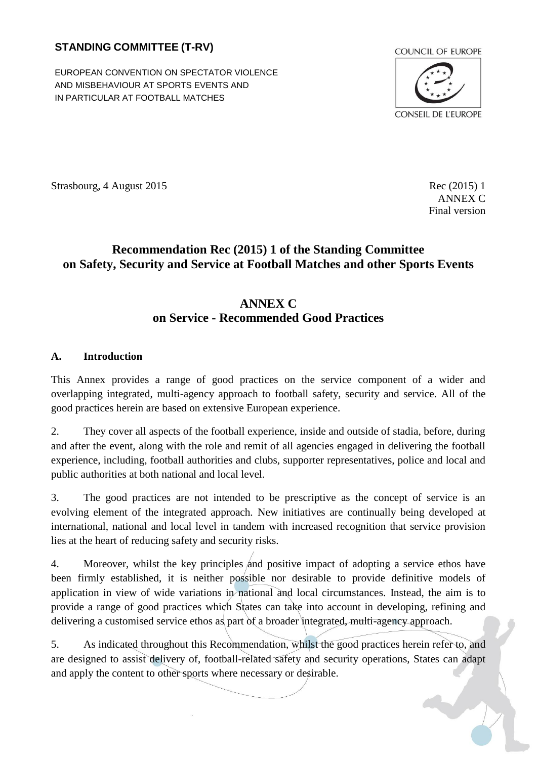## **STANDING COMMITTEE (T-RV)**

EUROPEAN CONVENTION ON SPECTATOR VIOLENCE AND MISBEHAVIOUR AT SPORTS EVENTS AND IN PARTICULAR AT FOOTBALL MATCHES



Strasbourg, 4 August 2015 Rec (2015) 1

ANNEX C Final version

# **Recommendation Rec (2015) 1 of the Standing Committee on Safety, Security and Service at Football Matches and other Sports Events**

# **ANNEX C on Service - Recommended Good Practices**

#### <span id="page-0-0"></span>**A. Introduction**

This Annex provides a range of good practices on the service component of a wider and overlapping integrated, multi-agency approach to football safety, security and service. All of the good practices herein are based on extensive European experience.

2. They cover all aspects of the football experience, inside and outside of stadia, before, during and after the event, along with the role and remit of all agencies engaged in delivering the football experience, including, football authorities and clubs, supporter representatives, police and local and public authorities at both national and local level.

3. The good practices are not intended to be prescriptive as the concept of service is an evolving element of the integrated approach. New initiatives are continually being developed at international, national and local level in tandem with increased recognition that service provision lies at the heart of reducing safety and security risks.

4. Moreover, whilst the key principles and positive impact of adopting a service ethos have been firmly established, it is neither possible nor desirable to provide definitive models of application in view of wide variations in national and local circumstances. Instead, the aim is to provide a range of good practices which States can take into account in developing, refining and delivering a customised service ethos as part of a broader integrated, multi-agency approach.

5. As indicated throughout this Recommendation, whilst the good practices herein refer to, and are designed to assist delivery of, football-related safety and security operations, States can adapt and apply the content to other sports where necessary or desirable.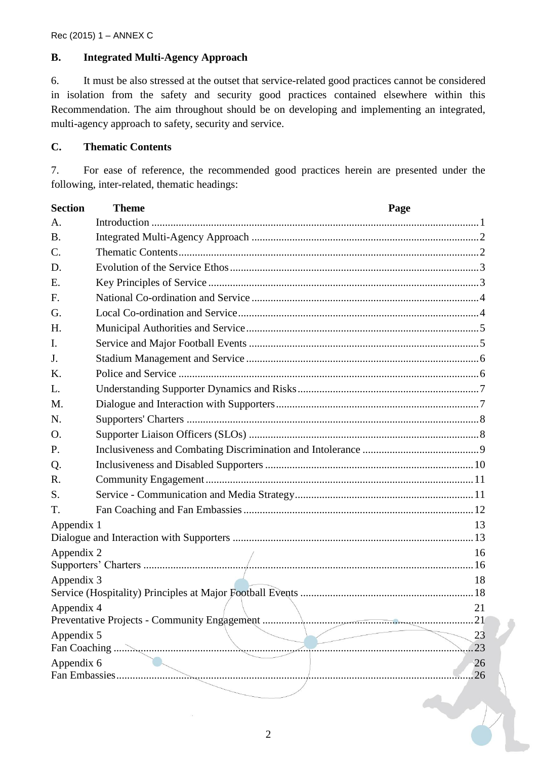### <span id="page-1-0"></span>**B. Integrated Multi-Agency Approach**

6. It must be also stressed at the outset that service-related good practices cannot be considered in isolation from the safety and security good practices contained elsewhere within this Recommendation. The aim throughout should be on developing and implementing an integrated, multi-agency approach to safety, security and service.

## <span id="page-1-1"></span>**C. Thematic Contents**

7. For ease of reference, the recommended good practices herein are presented under the following, inter-related, thematic headings:

| <b>Section</b>                                     | <b>Theme</b> | Page |
|----------------------------------------------------|--------------|------|
| A.                                                 |              |      |
| <b>B.</b>                                          |              |      |
| $\mathcal{C}$ .                                    |              |      |
| D.                                                 |              |      |
| Ε.                                                 |              |      |
| F.                                                 |              |      |
| G.                                                 |              |      |
| H.                                                 |              |      |
| I.                                                 |              |      |
| J.                                                 |              |      |
| K.                                                 |              |      |
| L.                                                 |              |      |
| M.                                                 |              |      |
| N.                                                 |              |      |
| O.                                                 |              |      |
| P.                                                 |              |      |
| Q.                                                 |              |      |
| R.                                                 |              |      |
| S.                                                 |              |      |
| T.                                                 |              |      |
| Appendix 1                                         |              | 13   |
|                                                    |              |      |
| Appendix 2                                         |              | 16   |
|                                                    |              |      |
| Appendix 3                                         |              | 18   |
| Appendix 4<br>21                                   |              |      |
| 21<br>Preventative Projects - Community Engagement |              |      |
| Appendix 5                                         |              | 23   |
| 23                                                 |              |      |
| Appendix 6                                         |              | 26   |
|                                                    |              | 26   |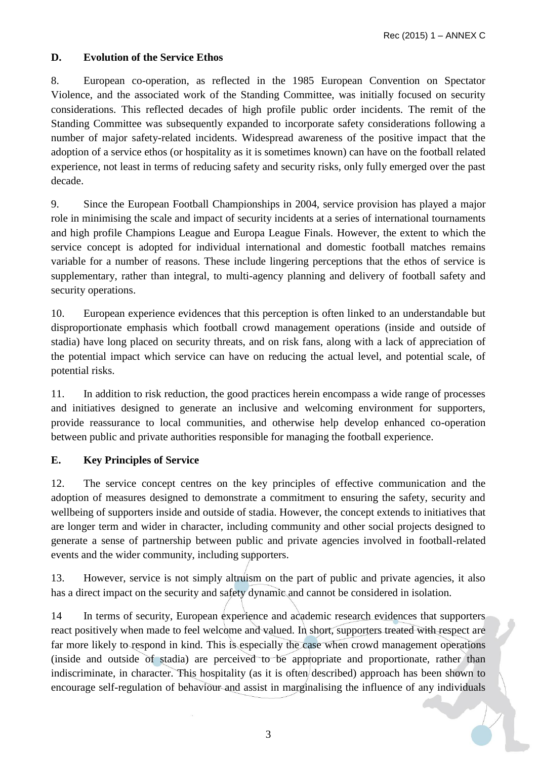### <span id="page-2-0"></span>**D. Evolution of the Service Ethos**

8. European co-operation, as reflected in the 1985 European Convention on Spectator Violence, and the associated work of the Standing Committee, was initially focused on security considerations. This reflected decades of high profile public order incidents. The remit of the Standing Committee was subsequently expanded to incorporate safety considerations following a number of major safety-related incidents. Widespread awareness of the positive impact that the adoption of a service ethos (or hospitality as it is sometimes known) can have on the football related experience, not least in terms of reducing safety and security risks, only fully emerged over the past decade.

9. Since the European Football Championships in 2004, service provision has played a major role in minimising the scale and impact of security incidents at a series of international tournaments and high profile Champions League and Europa League Finals. However, the extent to which the service concept is adopted for individual international and domestic football matches remains variable for a number of reasons. These include lingering perceptions that the ethos of service is supplementary, rather than integral, to multi-agency planning and delivery of football safety and security operations.

10. European experience evidences that this perception is often linked to an understandable but disproportionate emphasis which football crowd management operations (inside and outside of stadia) have long placed on security threats, and on risk fans, along with a lack of appreciation of the potential impact which service can have on reducing the actual level, and potential scale, of potential risks.

11. In addition to risk reduction, the good practices herein encompass a wide range of processes and initiatives designed to generate an inclusive and welcoming environment for supporters, provide reassurance to local communities, and otherwise help develop enhanced co-operation between public and private authorities responsible for managing the football experience.

#### <span id="page-2-1"></span>**E. Key Principles of Service**

12. The service concept centres on the key principles of effective communication and the adoption of measures designed to demonstrate a commitment to ensuring the safety, security and wellbeing of supporters inside and outside of stadia. However, the concept extends to initiatives that are longer term and wider in character, including community and other social projects designed to generate a sense of partnership between public and private agencies involved in football-related events and the wider community, including supporters.

13. However, service is not simply altruism on the part of public and private agencies, it also has a direct impact on the security and safety dynamic and cannot be considered in isolation.

14 In terms of security, European experience and academic research evidences that supporters react positively when made to feel welcome and valued. In short, supporters treated with respect are far more likely to respond in kind. This is especially the case when crowd management operations (inside and outside of stadia) are perceived to be appropriate and proportionate, rather than indiscriminate, in character. This hospitality (as it is often described) approach has been shown to encourage self-regulation of behaviour and assist in marginalising the influence of any individuals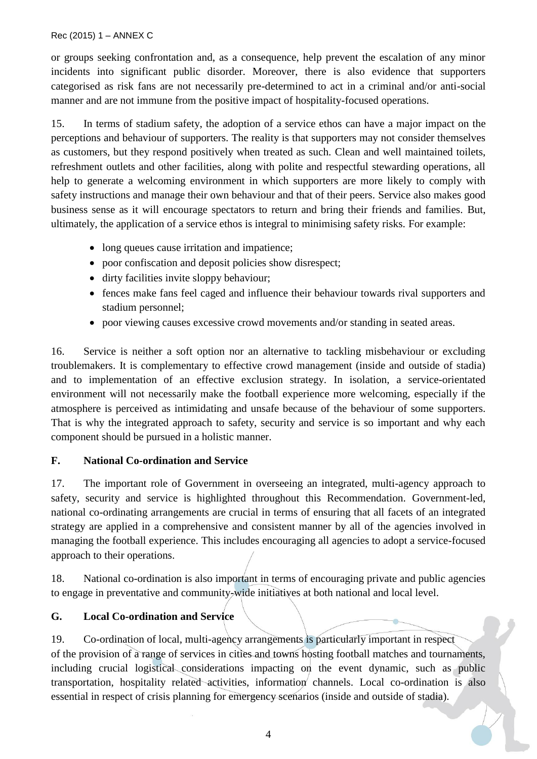or groups seeking confrontation and, as a consequence, help prevent the escalation of any minor incidents into significant public disorder. Moreover, there is also evidence that supporters categorised as risk fans are not necessarily pre-determined to act in a criminal and/or anti-social manner and are not immune from the positive impact of hospitality-focused operations.

15. In terms of stadium safety, the adoption of a service ethos can have a major impact on the perceptions and behaviour of supporters. The reality is that supporters may not consider themselves as customers, but they respond positively when treated as such. Clean and well maintained toilets, refreshment outlets and other facilities, along with polite and respectful stewarding operations, all help to generate a welcoming environment in which supporters are more likely to comply with safety instructions and manage their own behaviour and that of their peers. Service also makes good business sense as it will encourage spectators to return and bring their friends and families. But, ultimately, the application of a service ethos is integral to minimising safety risks. For example:

- long queues cause irritation and impatience;
- poor confiscation and deposit policies show disrespect:
- dirty facilities invite sloppy behaviour;
- fences make fans feel caged and influence their behaviour towards rival supporters and stadium personnel;
- poor viewing causes excessive crowd movements and/or standing in seated areas.

16. Service is neither a soft option nor an alternative to tackling misbehaviour or excluding troublemakers. It is complementary to effective crowd management (inside and outside of stadia) and to implementation of an effective exclusion strategy. In isolation, a service-orientated environment will not necessarily make the football experience more welcoming, especially if the atmosphere is perceived as intimidating and unsafe because of the behaviour of some supporters. That is why the integrated approach to safety, security and service is so important and why each component should be pursued in a holistic manner.

## <span id="page-3-0"></span>**F. National Co-ordination and Service**

17. The important role of Government in overseeing an integrated, multi-agency approach to safety, security and service is highlighted throughout this Recommendation. Government-led, national co-ordinating arrangements are crucial in terms of ensuring that all facets of an integrated strategy are applied in a comprehensive and consistent manner by all of the agencies involved in managing the football experience. This includes encouraging all agencies to adopt a service-focused approach to their operations.

18. National co-ordination is also important in terms of encouraging private and public agencies to engage in preventative and community-wide initiatives at both national and local level.

## <span id="page-3-1"></span>**G. Local Co-ordination and Service**

19. Co-ordination of local, multi-agency arrangements is particularly important in respect of the provision of a range of services in cities and towns hosting football matches and tournaments, including crucial logistical considerations impacting on the event dynamic, such as public transportation, hospitality related activities, information channels. Local co-ordination is also essential in respect of crisis planning for emergency scenarios (inside and outside of stadia).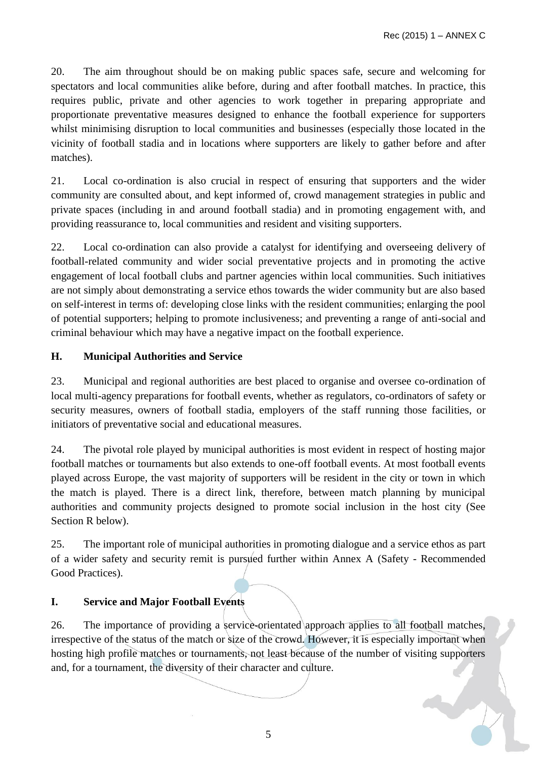20. The aim throughout should be on making public spaces safe, secure and welcoming for spectators and local communities alike before, during and after football matches. In practice, this requires public, private and other agencies to work together in preparing appropriate and proportionate preventative measures designed to enhance the football experience for supporters whilst minimising disruption to local communities and businesses (especially those located in the vicinity of football stadia and in locations where supporters are likely to gather before and after matches).

21. Local co-ordination is also crucial in respect of ensuring that supporters and the wider community are consulted about, and kept informed of, crowd management strategies in public and private spaces (including in and around football stadia) and in promoting engagement with, and providing reassurance to, local communities and resident and visiting supporters.

22. Local co-ordination can also provide a catalyst for identifying and overseeing delivery of football-related community and wider social preventative projects and in promoting the active engagement of local football clubs and partner agencies within local communities. Such initiatives are not simply about demonstrating a service ethos towards the wider community but are also based on self-interest in terms of: developing close links with the resident communities; enlarging the pool of potential supporters; helping to promote inclusiveness; and preventing a range of anti-social and criminal behaviour which may have a negative impact on the football experience.

## <span id="page-4-0"></span>**H. Municipal Authorities and Service**

23. Municipal and regional authorities are best placed to organise and oversee co-ordination of local multi-agency preparations for football events, whether as regulators, co-ordinators of safety or security measures, owners of football stadia, employers of the staff running those facilities, or initiators of preventative social and educational measures.

24. The pivotal role played by municipal authorities is most evident in respect of hosting major football matches or tournaments but also extends to one-off football events. At most football events played across Europe, the vast majority of supporters will be resident in the city or town in which the match is played. There is a direct link, therefore, between match planning by municipal authorities and community projects designed to promote social inclusion in the host city (See Section R below).

25. The important role of municipal authorities in promoting dialogue and a service ethos as part of a wider safety and security remit is pursued further within Annex A (Safety - Recommended Good Practices).

## <span id="page-4-1"></span>**I. Service and Major Football Events**

26. The importance of providing a service-orientated approach applies to all football matches, irrespective of the status of the match or size of the crowd. However, it is especially important when hosting high profile matches or tournaments, not least because of the number of visiting supporters and, for a tournament, the diversity of their character and culture.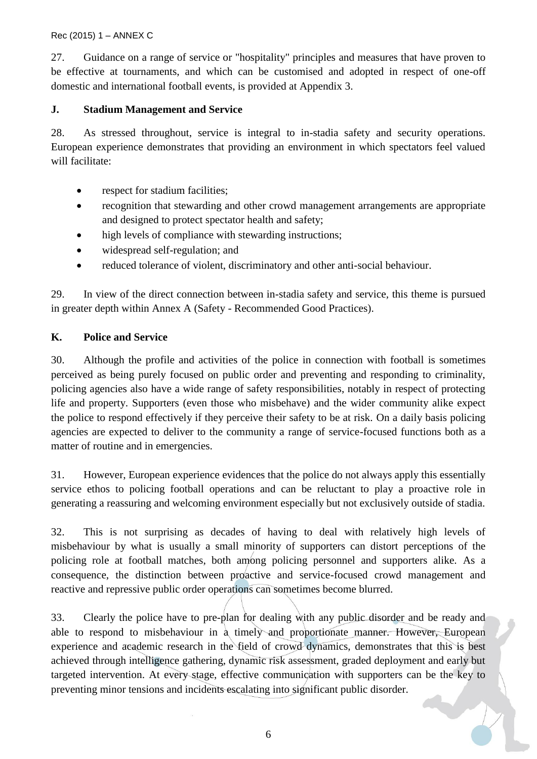27. Guidance on a range of service or "hospitality" principles and measures that have proven to be effective at tournaments, and which can be customised and adopted in respect of one-off domestic and international football events, is provided at Appendix 3.

### <span id="page-5-0"></span>**J. Stadium Management and Service**

28. As stressed throughout, service is integral to in-stadia safety and security operations. European experience demonstrates that providing an environment in which spectators feel valued will facilitate:

- respect for stadium facilities;
- recognition that stewarding and other crowd management arrangements are appropriate and designed to protect spectator health and safety;
- high levels of compliance with stewarding instructions;
- widespread self-regulation; and
- reduced tolerance of violent, discriminatory and other anti-social behaviour.

29. In view of the direct connection between in-stadia safety and service*,* this theme is pursued in greater depth within Annex A (Safety - Recommended Good Practices).

## <span id="page-5-1"></span>**K. Police and Service**

30. Although the profile and activities of the police in connection with football is sometimes perceived as being purely focused on public order and preventing and responding to criminality, policing agencies also have a wide range of safety responsibilities, notably in respect of protecting life and property. Supporters (even those who misbehave) and the wider community alike expect the police to respond effectively if they perceive their safety to be at risk. On a daily basis policing agencies are expected to deliver to the community a range of service-focused functions both as a matter of routine and in emergencies.

31. However, European experience evidences that the police do not always apply this essentially service ethos to policing football operations and can be reluctant to play a proactive role in generating a reassuring and welcoming environment especially but not exclusively outside of stadia.

32. This is not surprising as decades of having to deal with relatively high levels of misbehaviour by what is usually a small minority of supporters can distort perceptions of the policing role at football matches, both among policing personnel and supporters alike. As a consequence, the distinction between proactive and service-focused crowd management and reactive and repressive public order operations can sometimes become blurred.

33. Clearly the police have to pre-plan for dealing with any public disorder and be ready and able to respond to misbehaviour in a timely and proportionate manner. However, European experience and academic research in the field of crowd dynamics, demonstrates that this is best achieved through intelligence gathering, dynamic risk assessment, graded deployment and early but targeted intervention. At every stage, effective communication with supporters can be the key to preventing minor tensions and incidents escalating into significant public disorder.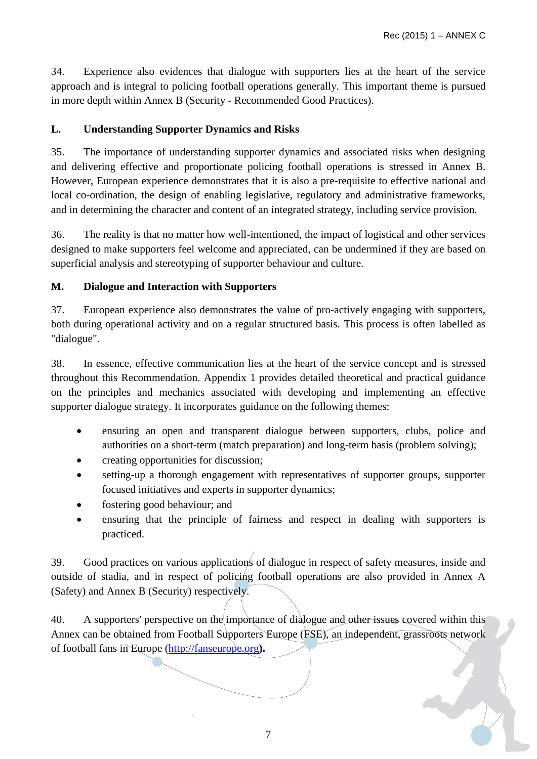34. Experience also evidences that dialogue with supporters lies at the heart of the service approach and is integral to policing football operations generally. This important theme is pursued in more depth within Annex B (Security - Recommended Good Practices).

### <span id="page-6-0"></span>**L. Understanding Supporter Dynamics and Risks**

35. The importance of understanding supporter dynamics and associated risks when designing and delivering effective and proportionate policing football operations is stressed in Annex B. However, European experience demonstrates that it is also a pre-requisite to effective national and local co-ordination, the design of enabling legislative, regulatory and administrative frameworks, and in determining the character and content of an integrated strategy, including service provision.

36. The reality is that no matter how well-intentioned, the impact of logistical and other services designed to make supporters feel welcome and appreciated, can be undermined if they are based on superficial analysis and stereotyping of supporter behaviour and culture.

#### <span id="page-6-1"></span>**M. Dialogue and Interaction with Supporters**

37. European experience also demonstrates the value of pro-actively engaging with supporters, both during operational activity and on a regular structured basis. This process is often labelled as "dialogue".

38. In essence, effective communication lies at the heart of the service concept and is stressed throughout this Recommendation. Appendix 1 provides detailed theoretical and practical guidance on the principles and mechanics associated with developing and implementing an effective supporter dialogue strategy. It incorporates guidance on the following themes:

- ensuring an open and transparent dialogue between supporters, clubs, police and authorities on a short-term (match preparation) and long-term basis (problem solving);
- creating opportunities for discussion;
- setting-up a thorough engagement with representatives of supporter groups, supporter focused initiatives and experts in supporter dynamics;
- fostering good behaviour; and
- ensuring that the principle of fairness and respect in dealing with supporters is practiced.

39. Good practices on various applications of dialogue in respect of safety measures, inside and outside of stadia, and in respect of policing football operations are also provided in Annex A (Safety) and Annex B (Security) respectively.

40. A supporters' perspective on the importance of dialogue and other issues covered within this Annex can be obtained from Football Supporters Europe (FSE), an independent, grassroots network of football fans in Europe [\(http://fanseurope.org](http://fanseurope.org/)**).**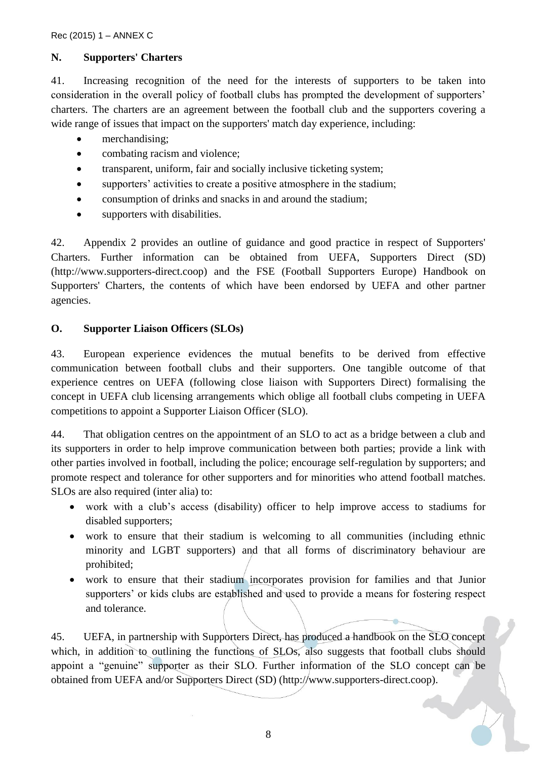#### <span id="page-7-0"></span>**N. Supporters' Charters**

41. Increasing recognition of the need for the interests of supporters to be taken into consideration in the overall policy of football clubs has prompted the development of supporters' charters. The charters are an agreement between the football club and the supporters covering a wide range of issues that impact on the supporters' match day experience, including:

- merchandising;
- combating racism and violence;
- transparent, uniform, fair and socially inclusive ticketing system;
- supporters' activities to create a positive atmosphere in the stadium;
- consumption of drinks and snacks in and around the stadium;
- supporters with disabilities.

42. Appendix 2 provides an outline of guidance and good practice in respect of Supporters' Charters. Further information can be obtained from UEFA, Supporters Direct (SD) (http://www.supporters-direct.coop) and the FSE (Football Supporters Europe) Handbook on Supporters' Charters, the contents of which have been endorsed by UEFA and other partner agencies.

#### <span id="page-7-1"></span>**O. Supporter Liaison Officers (SLOs)**

43. European experience evidences the mutual benefits to be derived from effective communication between football clubs and their supporters. One tangible outcome of that experience centres on UEFA (following close liaison with Supporters Direct) formalising the concept in UEFA club licensing arrangements which oblige all football clubs competing in UEFA competitions to appoint a Supporter Liaison Officer (SLO).

44. That obligation centres on the appointment of an SLO to act as a bridge between a club and its supporters in order to help improve communication between both parties; provide a link with other parties involved in football, including the police; encourage self-regulation by supporters; and promote respect and tolerance for other supporters and for minorities who attend football matches. SLOs are also required (inter alia) to:

- work with a club's access (disability) officer to help improve access to stadiums for disabled supporters;
- work to ensure that their stadium is welcoming to all communities (including ethnic minority and LGBT supporters) and that all forms of discriminatory behaviour are prohibited;
- work to ensure that their stadium incorporates provision for families and that Junior supporters' or kids clubs are established and used to provide a means for fostering respect and tolerance.

45. UEFA, in partnership with Supporters Direct, has produced a handbook on the SLO concept which, in addition to outlining the functions of SLOs, also suggests that football clubs should appoint a "genuine" supporter as their SLO. Further information of the SLO concept can be obtained from UEFA and/or Supporters Direct (SD) (http://www.supporters-direct.coop).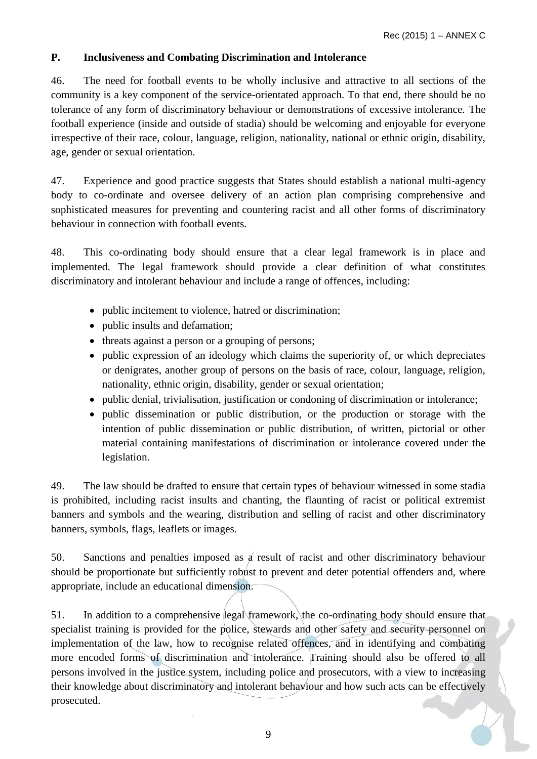### <span id="page-8-0"></span>**P. Inclusiveness and Combating Discrimination and Intolerance**

46. The need for football events to be wholly inclusive and attractive to all sections of the community is a key component of the service-orientated approach. To that end, there should be no tolerance of any form of discriminatory behaviour or demonstrations of excessive intolerance. The football experience (inside and outside of stadia) should be welcoming and enjoyable for everyone irrespective of their race, colour, language, religion, nationality, national or ethnic origin, disability, age, gender or sexual orientation.

47. Experience and good practice suggests that States should establish a national multi-agency body to co-ordinate and oversee delivery of an action plan comprising comprehensive and sophisticated measures for preventing and countering racist and all other forms of discriminatory behaviour in connection with football events*.* 

48. This co-ordinating body should ensure that a clear legal framework is in place and implemented. The legal framework should provide a clear definition of what constitutes discriminatory and intolerant behaviour and include a range of offences, including:

- public incitement to violence, hatred or discrimination;
- public insults and defamation;
- threats against a person or a grouping of persons;
- public expression of an ideology which claims the superiority of, or which depreciates or denigrates, another group of persons on the basis of race, colour, language, religion, nationality, ethnic origin, disability, gender or sexual orientation;
- public denial, trivialisation, justification or condoning of discrimination or intolerance;
- public dissemination or public distribution, or the production or storage with the intention of public dissemination or public distribution, of written, pictorial or other material containing manifestations of discrimination or intolerance covered under the legislation.

49. The law should be drafted to ensure that certain types of behaviour witnessed in some stadia is prohibited, including racist insults and chanting, the flaunting of racist or political extremist banners and symbols and the wearing, distribution and selling of racist and other discriminatory banners, symbols, flags, leaflets or images.

50. Sanctions and penalties imposed as a result of racist and other discriminatory behaviour should be proportionate but sufficiently robust to prevent and deter potential offenders and, where appropriate, include an educational dimension.

51. In addition to a comprehensive legal framework, the co-ordinating body should ensure that specialist training is provided for the police, stewards and other safety and security personnel on implementation of the law, how to recognise related offences, and in identifying and combating more encoded forms of discrimination and intolerance. Training should also be offered to all persons involved in the justice system, including police and prosecutors, with a view to increasing their knowledge about discriminatory and intolerant behaviour and how such acts can be effectively prosecuted.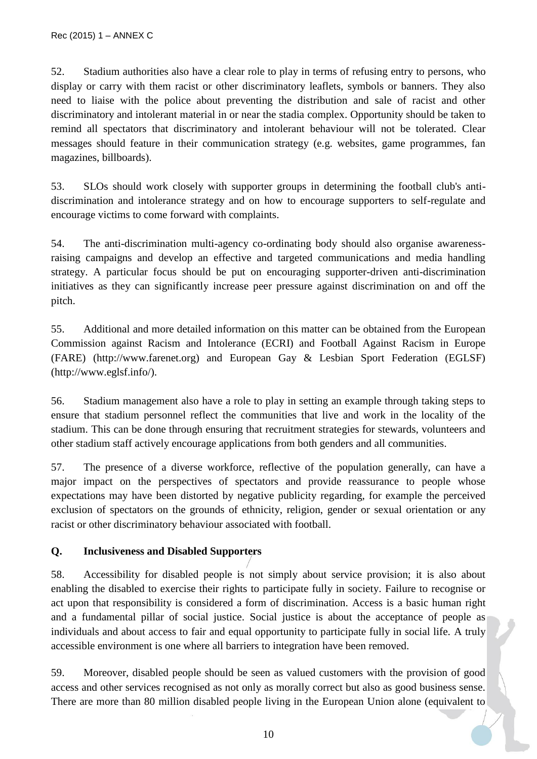52. Stadium authorities also have a clear role to play in terms of refusing entry to persons, who display or carry with them racist or other discriminatory leaflets, symbols or banners. They also need to liaise with the police about preventing the distribution and sale of racist and other discriminatory and intolerant material in or near the stadia complex. Opportunity should be taken to remind all spectators that discriminatory and intolerant behaviour will not be tolerated. Clear messages should feature in their communication strategy (e.g. websites, game programmes, fan magazines, billboards).

53. SLOs should work closely with supporter groups in determining the football club's antidiscrimination and intolerance strategy and on how to encourage supporters to self-regulate and encourage victims to come forward with complaints.

54. The anti-discrimination multi-agency co-ordinating body should also organise awarenessraising campaigns and develop an effective and targeted communications and media handling strategy. A particular focus should be put on encouraging supporter-driven anti-discrimination initiatives as they can significantly increase peer pressure against discrimination on and off the pitch.

55. Additional and more detailed information on this matter can be obtained from the European Commission against Racism and Intolerance (ECRI) and Football Against Racism in Europe (FARE) (http://www.farenet.org) and European Gay & Lesbian Sport Federation (EGLSF) (http://www.eglsf.info/).

56. Stadium management also have a role to play in setting an example through taking steps to ensure that stadium personnel reflect the communities that live and work in the locality of the stadium. This can be done through ensuring that recruitment strategies for stewards, volunteers and other stadium staff actively encourage applications from both genders and all communities.

57. The presence of a diverse workforce, reflective of the population generally, can have a major impact on the perspectives of spectators and provide reassurance to people whose expectations may have been distorted by negative publicity regarding, for example the perceived exclusion of spectators on the grounds of ethnicity, religion, gender or sexual orientation or any racist or other discriminatory behaviour associated with football.

## <span id="page-9-0"></span>**Q. Inclusiveness and Disabled Supporters**

58. Accessibility for disabled people is not simply about service provision; it is also about enabling the disabled to exercise their rights to participate fully in society. Failure to recognise or act upon that responsibility is considered a form of discrimination. Access is a basic human right and a fundamental pillar of social justice. Social justice is about the acceptance of people as individuals and about access to fair and equal opportunity to participate fully in social life. A truly accessible environment is one where all barriers to integration have been removed.

59. Moreover, disabled people should be seen as valued customers with the provision of good access and other services recognised as not only as morally correct but also as good business sense. There are more than 80 million disabled people living in the European Union alone (equivalent to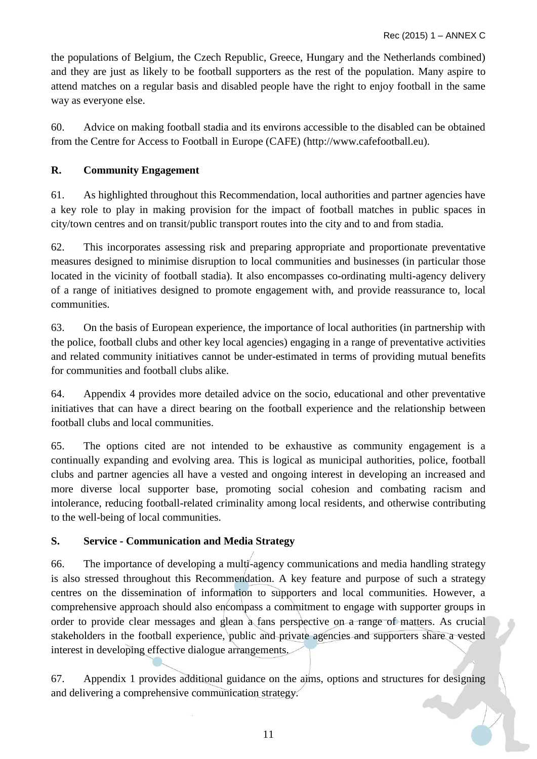the populations of Belgium, the Czech Republic, Greece, Hungary and the Netherlands combined) and they are just as likely to be football supporters as the rest of the population. Many aspire to attend matches on a regular basis and disabled people have the right to enjoy football in the same way as everyone else.

60. Advice on making football stadia and its environs accessible to the disabled can be obtained from the Centre for Access to Football in Europe (CAFE) (http://www.cafefootball.eu).

## <span id="page-10-0"></span>**R. Community Engagement**

61. As highlighted throughout this Recommendation, local authorities and partner agencies have a key role to play in making provision for the impact of football matches in public spaces in city/town centres and on transit/public transport routes into the city and to and from stadia.

62. This incorporates assessing risk and preparing appropriate and proportionate preventative measures designed to minimise disruption to local communities and businesses (in particular those located in the vicinity of football stadia). It also encompasses co-ordinating multi-agency delivery of a range of initiatives designed to promote engagement with, and provide reassurance to, local communities.

63. On the basis of European experience, the importance of local authorities (in partnership with the police, football clubs and other key local agencies) engaging in a range of preventative activities and related community initiatives cannot be under-estimated in terms of providing mutual benefits for communities and football clubs alike.

64. Appendix 4 provides more detailed advice on the socio, educational and other preventative initiatives that can have a direct bearing on the football experience and the relationship between football clubs and local communities.

65. The options cited are not intended to be exhaustive as community engagement is a continually expanding and evolving area. This is logical as municipal authorities, police, football clubs and partner agencies all have a vested and ongoing interest in developing an increased and more diverse local supporter base, promoting social cohesion and combating racism and intolerance, reducing football-related criminality among local residents, and otherwise contributing to the well-being of local communities.

## <span id="page-10-1"></span>**S. Service - Communication and Media Strategy**

66. The importance of developing a multi-agency communications and media handling strategy is also stressed throughout this Recommendation. A key feature and purpose of such a strategy centres on the dissemination of information to supporters and local communities. However, a comprehensive approach should also encompass a commitment to engage with supporter groups in order to provide clear messages and glean a fans perspective on a range of matters. As crucial stakeholders in the football experience, public and private agencies and supporters share a vested interest in developing effective dialogue arrangements.

67. Appendix 1 provides additional guidance on the aims, options and structures for designing and delivering a comprehensive communication strategy.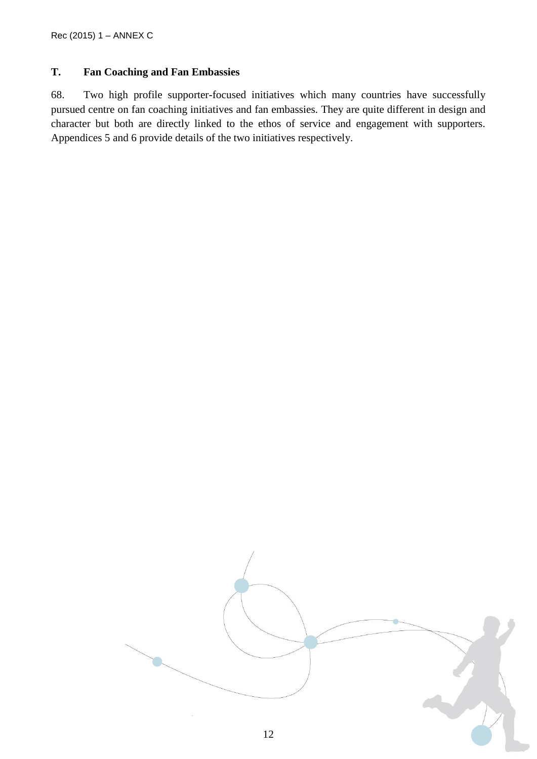#### <span id="page-11-0"></span>**T. Fan Coaching and Fan Embassies**

68. Two high profile supporter-focused initiatives which many countries have successfully pursued centre on fan coaching initiatives and fan embassies. They are quite different in design and character but both are directly linked to the ethos of service and engagement with supporters. Appendices 5 and 6 provide details of the two initiatives respectively.

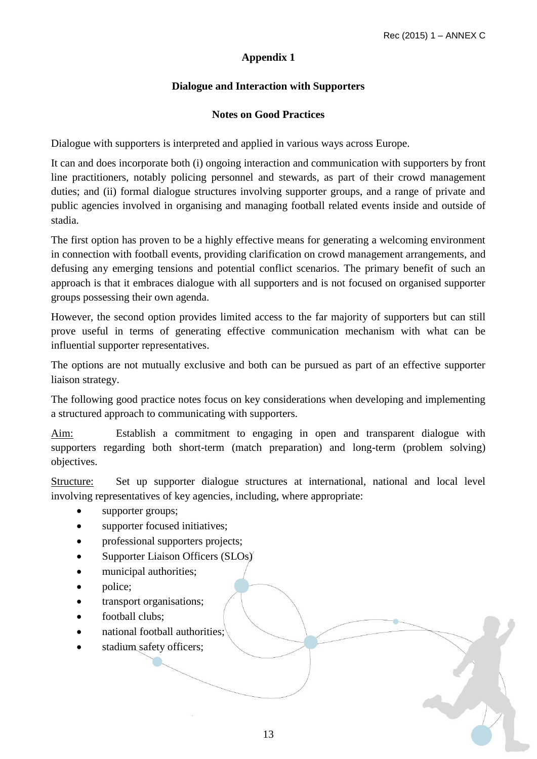### **Dialogue and Interaction with Supporters**

### **Notes on Good Practices**

<span id="page-12-1"></span><span id="page-12-0"></span>Dialogue with supporters is interpreted and applied in various ways across Europe.

It can and does incorporate both (i) ongoing interaction and communication with supporters by front line practitioners, notably policing personnel and stewards, as part of their crowd management duties; and (ii) formal dialogue structures involving supporter groups, and a range of private and public agencies involved in organising and managing football related events inside and outside of stadia.

The first option has proven to be a highly effective means for generating a welcoming environment in connection with football events, providing clarification on crowd management arrangements, and defusing any emerging tensions and potential conflict scenarios. The primary benefit of such an approach is that it embraces dialogue with all supporters and is not focused on organised supporter groups possessing their own agenda.

However, the second option provides limited access to the far majority of supporters but can still prove useful in terms of generating effective communication mechanism with what can be influential supporter representatives.

The options are not mutually exclusive and both can be pursued as part of an effective supporter liaison strategy.

The following good practice notes focus on key considerations when developing and implementing a structured approach to communicating with supporters.

Aim: Establish a commitment to engaging in open and transparent dialogue with supporters regarding both short-term (match preparation) and long-term (problem solving) objectives.

Structure: Set up supporter dialogue structures at international, national and local level involving representatives of key agencies, including, where appropriate:

- supporter groups;
- supporter focused initiatives;
- professional supporters projects;
- Supporter Liaison Officers (SLOs)
- municipal authorities;
- police;
- transport organisations;
- football clubs:
- national football authorities;
- stadium safety officers;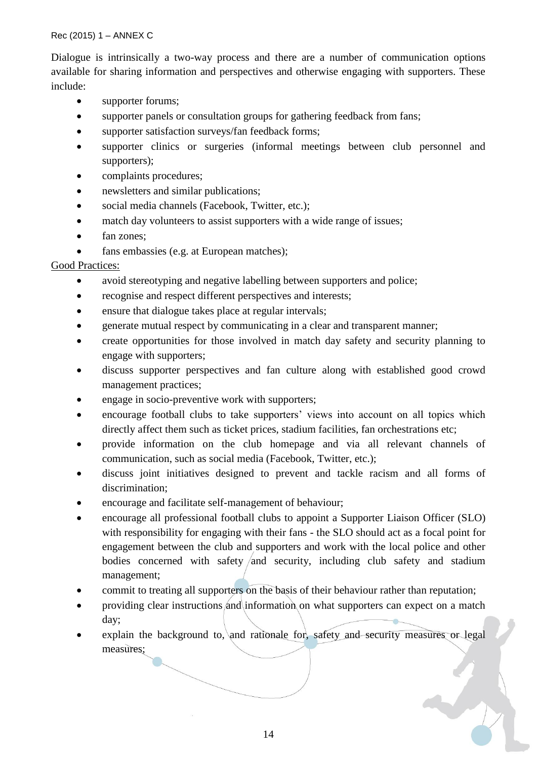Dialogue is intrinsically a two-way process and there are a number of communication options available for sharing information and perspectives and otherwise engaging with supporters. These include:

- supporter forums;
- supporter panels or consultation groups for gathering feedback from fans;
- supporter satisfaction surveys/fan feedback forms;
- supporter clinics or surgeries (informal meetings between club personnel and supporters);
- complaints procedures;
- newsletters and similar publications;
- social media channels (Facebook, Twitter, etc.);
- match day volunteers to assist supporters with a wide range of issues;
- fan zones:
- fans embassies (e.g. at European matches);

#### Good Practices:

- avoid stereotyping and negative labelling between supporters and police;
- recognise and respect different perspectives and interests;
- ensure that dialogue takes place at regular intervals;
- generate mutual respect by communicating in a clear and transparent manner;
- create opportunities for those involved in match day safety and security planning to engage with supporters;
- discuss supporter perspectives and fan culture along with established good crowd management practices;
- engage in socio-preventive work with supporters;
- encourage football clubs to take supporters' views into account on all topics which directly affect them such as ticket prices, stadium facilities, fan orchestrations etc;
- provide information on the club homepage and via all relevant channels of communication, such as social media (Facebook, Twitter, etc.);
- discuss joint initiatives designed to prevent and tackle racism and all forms of discrimination;
- encourage and facilitate self-management of behaviour;
- encourage all professional football clubs to appoint a Supporter Liaison Officer (SLO) with responsibility for engaging with their fans - the SLO should act as a focal point for engagement between the club and supporters and work with the local police and other bodies concerned with safety  $/$  and security, including club safety and stadium management;
- commit to treating all supporters on the basis of their behaviour rather than reputation;
- providing clear instructions and information on what supporters can expect on a match day;
- explain the background to, and rationale for, safety and security measures or legal measures;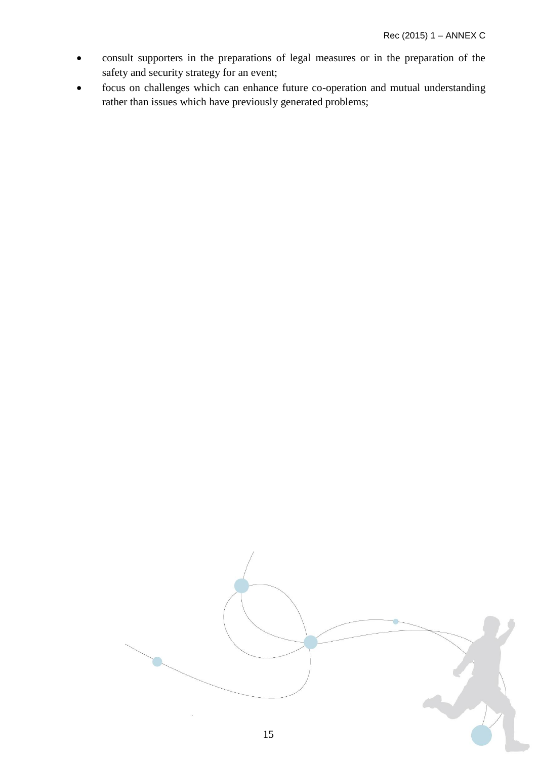- consult supporters in the preparations of legal measures or in the preparation of the safety and security strategy for an event;
- focus on challenges which can enhance future co-operation and mutual understanding rather than issues which have previously generated problems;

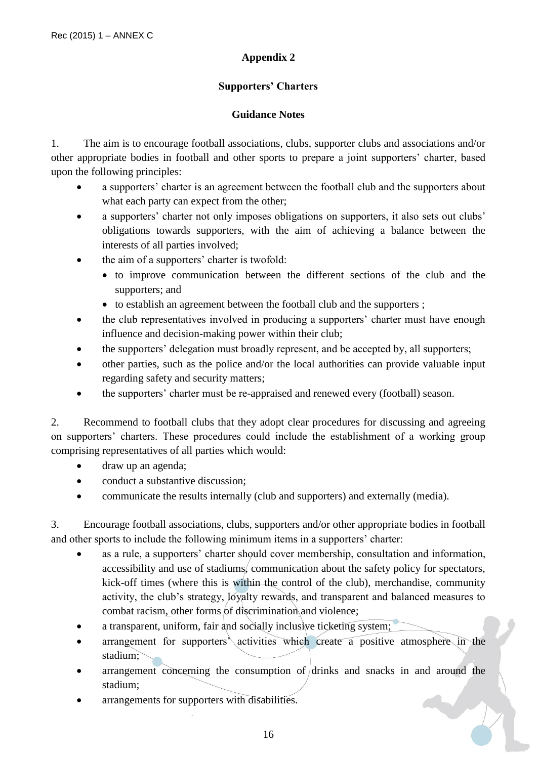### **Supporters' Charters**

#### **Guidance Notes**

<span id="page-15-1"></span><span id="page-15-0"></span>1. The aim is to encourage football associations, clubs, supporter clubs and associations and/or other appropriate bodies in football and other sports to prepare a joint supporters' charter, based upon the following principles:

- a supporters' charter is an agreement between the football club and the supporters about what each party can expect from the other;
- a supporters' charter not only imposes obligations on supporters, it also sets out clubs' obligations towards supporters, with the aim of achieving a balance between the interests of all parties involved;
- the aim of a supporters' charter is twofold:
	- to improve communication between the different sections of the club and the supporters; and
	- to establish an agreement between the football club and the supporters;
- the club representatives involved in producing a supporters' charter must have enough influence and decision-making power within their club;
- the supporters' delegation must broadly represent, and be accepted by, all supporters;
- other parties, such as the police and/or the local authorities can provide valuable input regarding safety and security matters;
- the supporters' charter must be re-appraised and renewed every (football) season.

2. Recommend to football clubs that they adopt clear procedures for discussing and agreeing on supporters' charters. These procedures could include the establishment of a working group comprising representatives of all parties which would:

- draw up an agenda;
- conduct a substantive discussion;
- communicate the results internally (club and supporters) and externally (media).

3. Encourage football associations, clubs, supporters and/or other appropriate bodies in football and other sports to include the following minimum items in a supporters' charter:

- as a rule, a supporters' charter should cover membership, consultation and information, accessibility and use of stadiums, communication about the safety policy for spectators, kick-off times (where this is within the control of the club), merchandise, community activity, the club's strategy, loyalty rewards, and transparent and balanced measures to combat racism, other forms of discrimination and violence;
- a transparent, uniform, fair and socially inclusive ticketing system;
- arrangement for supporters' activities which create a positive atmosphere in the stadium;
- arrangement concerning the consumption of drinks and snacks in and around the stadium;

arrangements for supporters with disabilities.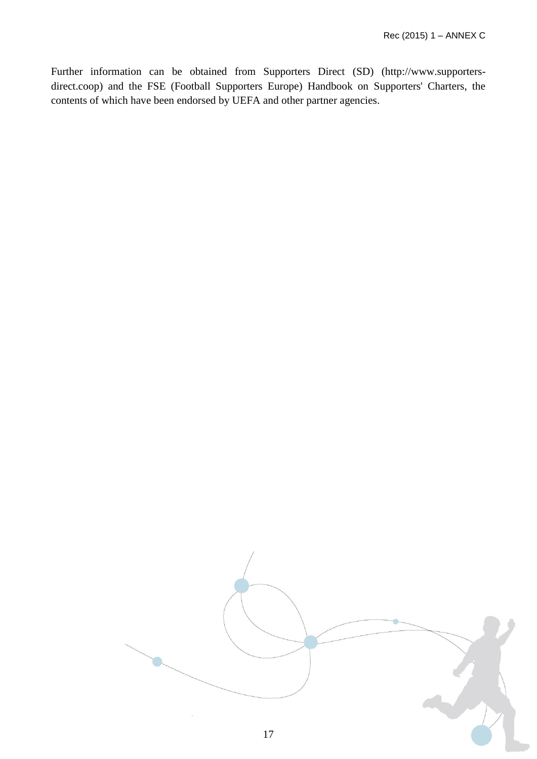Further information can be obtained from Supporters Direct (SD) (http://www.supportersdirect.coop) and the FSE (Football Supporters Europe) Handbook on Supporters' Charters, the contents of which have been endorsed by UEFA and other partner agencies.

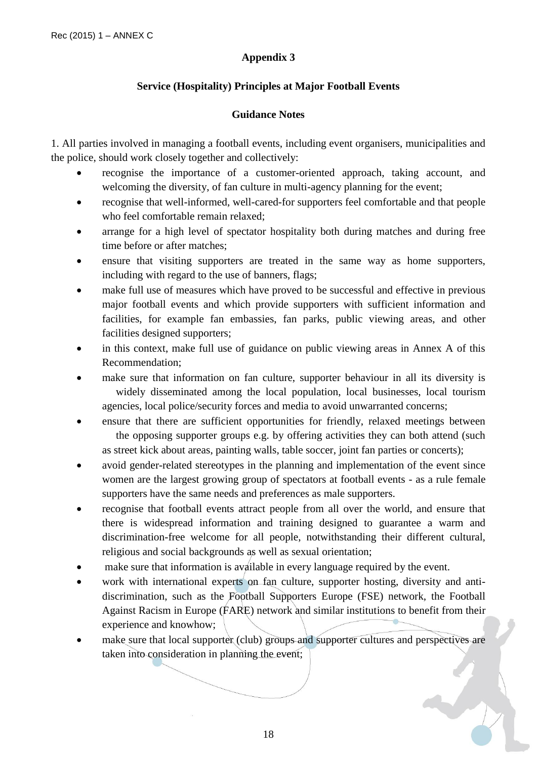### **Service (Hospitality) Principles at Major Football Events**

#### **Guidance Notes**

<span id="page-17-1"></span><span id="page-17-0"></span>1. All parties involved in managing a football events, including event organisers, municipalities and the police, should work closely together and collectively:

- recognise the importance of a customer-oriented approach, taking account, and welcoming the diversity, of fan culture in multi-agency planning for the event;
- recognise that well-informed, well-cared-for supporters feel comfortable and that people who feel comfortable remain relaxed;
- arrange for a high level of spectator hospitality both during matches and during free time before or after matches;
- ensure that visiting supporters are treated in the same way as home supporters, including with regard to the use of banners, flags;
- make full use of measures which have proved to be successful and effective in previous major football events and which provide supporters with sufficient information and facilities, for example fan embassies, fan parks, public viewing areas, and other facilities designed supporters;
- in this context, make full use of guidance on public viewing areas in Annex A of this Recommendation;
- make sure that information on fan culture, supporter behaviour in all its diversity is widely disseminated among the local population, local businesses, local tourism agencies, local police/security forces and media to avoid unwarranted concerns;
- ensure that there are sufficient opportunities for friendly, relaxed meetings between the opposing supporter groups e.g. by offering activities they can both attend (such as street kick about areas, painting walls, table soccer, joint fan parties or concerts);
- avoid gender-related stereotypes in the planning and implementation of the event since women are the largest growing group of spectators at football events - as a rule female supporters have the same needs and preferences as male supporters.
- recognise that football events attract people from all over the world, and ensure that there is widespread information and training designed to guarantee a warm and discrimination-free welcome for all people, notwithstanding their different cultural, religious and social backgrounds as well as sexual orientation;
- make sure that information is available in every language required by the event.
- work with international experts on fan culture, supporter hosting, diversity and antidiscrimination, such as the Football Supporters Europe (FSE) network, the Football Against Racism in Europe (FARE) network and similar institutions to benefit from their experience and knowhow;
- make sure that local supporter (club) groups and supporter cultures and perspectives are taken into consideration in planning the event;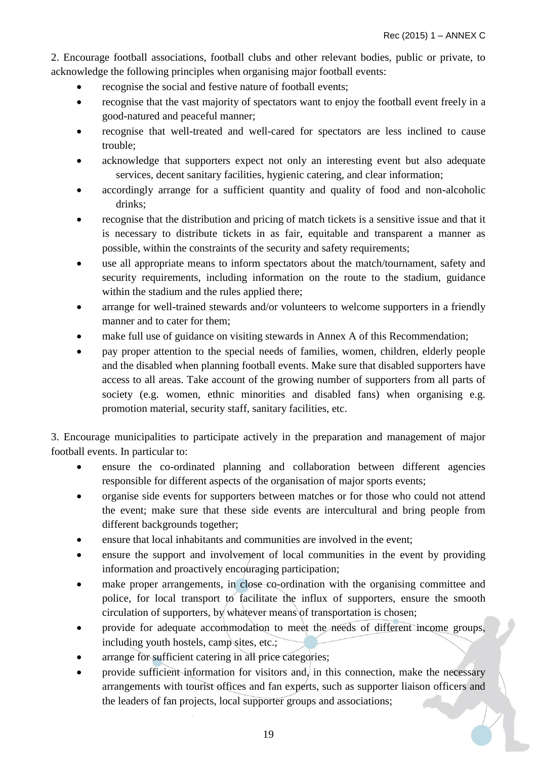2. Encourage football associations, football clubs and other relevant bodies, public or private, to acknowledge the following principles when organising major football events:

- recognise the social and festive nature of football events;
- recognise that the vast majority of spectators want to enjoy the football event freely in a good-natured and peaceful manner;
- recognise that well-treated and well-cared for spectators are less inclined to cause trouble;
- acknowledge that supporters expect not only an interesting event but also adequate services, decent sanitary facilities, hygienic catering, and clear information;
- accordingly arrange for a sufficient quantity and quality of food and non-alcoholic drinks;
- recognise that the distribution and pricing of match tickets is a sensitive issue and that it is necessary to distribute tickets in as fair, equitable and transparent a manner as possible, within the constraints of the security and safety requirements;
- use all appropriate means to inform spectators about the match/tournament, safety and security requirements, including information on the route to the stadium, guidance within the stadium and the rules applied there;
- arrange for well-trained stewards and/or volunteers to welcome supporters in a friendly manner and to cater for them;
- make full use of guidance on visiting stewards in Annex A of this Recommendation;
- pay proper attention to the special needs of families, women, children, elderly people and the disabled when planning football events. Make sure that disabled supporters have access to all areas. Take account of the growing number of supporters from all parts of society (e.g. women, ethnic minorities and disabled fans) when organising e.g. promotion material, security staff, sanitary facilities, etc.

3. Encourage municipalities to participate actively in the preparation and management of major football events. In particular to:

- ensure the co-ordinated planning and collaboration between different agencies responsible for different aspects of the organisation of major sports events;
- organise side events for supporters between matches or for those who could not attend the event; make sure that these side events are intercultural and bring people from different backgrounds together;
- ensure that local inhabitants and communities are involved in the event;
- ensure the support and involvement of local communities in the event by providing information and proactively encouraging participation;
- make proper arrangements, in close co-ordination with the organising committee and police, for local transport to facilitate the influx of supporters, ensure the smooth circulation of supporters, by whatever means of transportation is chosen;
- provide for adequate accommodation to meet the needs of different income groups, including youth hostels, camp sites, etc.;
- arrange for sufficient catering in all price categories;
- provide sufficient information for visitors and, in this connection, make the necessary arrangements with tourist offices and fan experts, such as supporter liaison officers and the leaders of fan projects, local supporter groups and associations;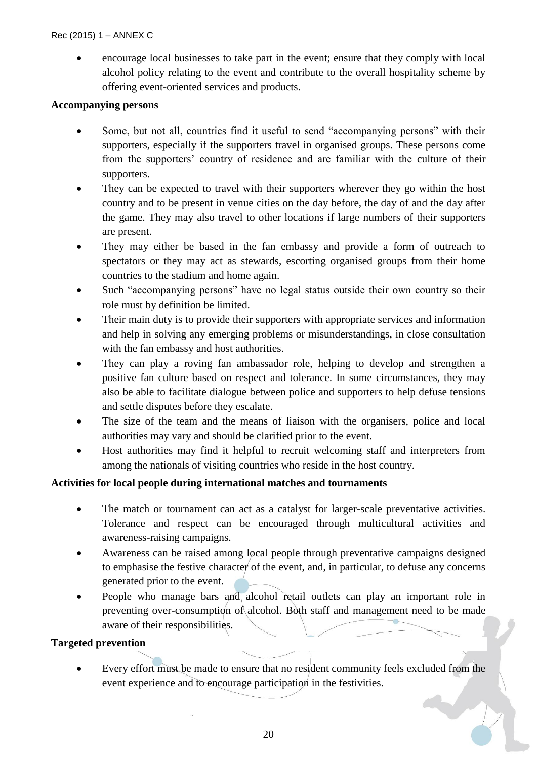encourage local businesses to take part in the event; ensure that they comply with local alcohol policy relating to the event and contribute to the overall hospitality scheme by offering event-oriented services and products.

#### **Accompanying persons**

- Some, but not all, countries find it useful to send "accompanying persons" with their supporters, especially if the supporters travel in organised groups. These persons come from the supporters' country of residence and are familiar with the culture of their supporters.
- They can be expected to travel with their supporters wherever they go within the host country and to be present in venue cities on the day before, the day of and the day after the game. They may also travel to other locations if large numbers of their supporters are present.
- They may either be based in the fan embassy and provide a form of outreach to spectators or they may act as stewards, escorting organised groups from their home countries to the stadium and home again.
- Such "accompanying persons" have no legal status outside their own country so their role must by definition be limited.
- Their main duty is to provide their supporters with appropriate services and information and help in solving any emerging problems or misunderstandings, in close consultation with the fan embassy and host authorities.
- They can play a roving fan ambassador role, helping to develop and strengthen a positive fan culture based on respect and tolerance. In some circumstances, they may also be able to facilitate dialogue between police and supporters to help defuse tensions and settle disputes before they escalate.
- The size of the team and the means of liaison with the organisers, police and local authorities may vary and should be clarified prior to the event.
- Host authorities may find it helpful to recruit welcoming staff and interpreters from among the nationals of visiting countries who reside in the host country.

#### **Activities for local people during international matches and tournaments**

- The match or tournament can act as a catalyst for larger-scale preventative activities. Tolerance and respect can be encouraged through multicultural activities and awareness-raising campaigns.
- Awareness can be raised among local people through preventative campaigns designed to emphasise the festive character of the event, and, in particular, to defuse any concerns generated prior to the event.
- People who manage bars and alcohol retail outlets can play an important role in preventing over-consumption of alcohol. Both staff and management need to be made aware of their responsibilities.

#### **Targeted prevention**

 Every effort must be made to ensure that no resident community feels excluded from the event experience and to encourage participation in the festivities.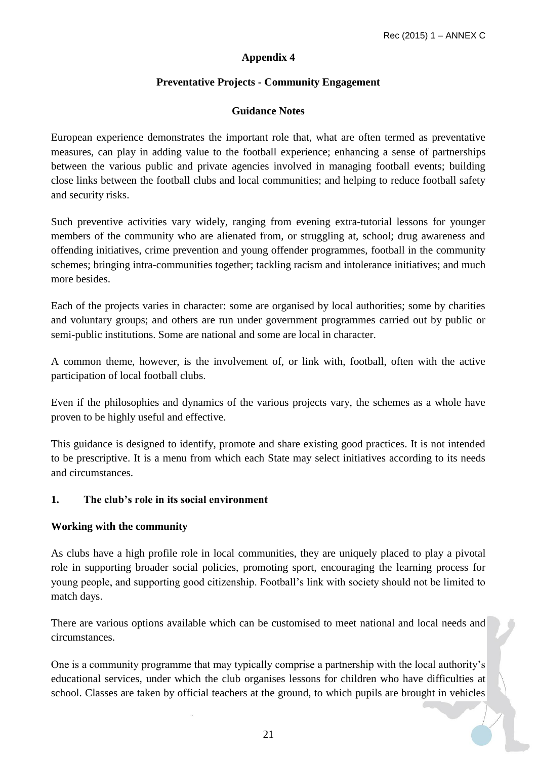### **Preventative Projects - Community Engagement**

#### **Guidance Notes**

<span id="page-20-1"></span><span id="page-20-0"></span>European experience demonstrates the important role that, what are often termed as preventative measures, can play in adding value to the football experience; enhancing a sense of partnerships between the various public and private agencies involved in managing football events; building close links between the football clubs and local communities; and helping to reduce football safety and security risks.

Such preventive activities vary widely, ranging from evening extra-tutorial lessons for younger members of the community who are alienated from, or struggling at, school; drug awareness and offending initiatives, crime prevention and young offender programmes, football in the community schemes; bringing intra-communities together; tackling racism and intolerance initiatives; and much more besides.

Each of the projects varies in character: some are organised by local authorities; some by charities and voluntary groups; and others are run under government programmes carried out by public or semi-public institutions. Some are national and some are local in character.

A common theme, however, is the involvement of, or link with, football, often with the active participation of local football clubs.

Even if the philosophies and dynamics of the various projects vary, the schemes as a whole have proven to be highly useful and effective.

This guidance is designed to identify, promote and share existing good practices. It is not intended to be prescriptive. It is a menu from which each State may select initiatives according to its needs and circumstances.

### **1. The club's role in its social environment**

#### **Working with the community**

As clubs have a high profile role in local communities, they are uniquely placed to play a pivotal role in supporting broader social policies, promoting sport, encouraging the learning process for young people, and supporting good citizenship. Football's link with society should not be limited to match days.

There are various options available which can be customised to meet national and local needs and circumstances.

One is a community programme that may typically comprise a partnership with the local authority's educational services, under which the club organises lessons for children who have difficulties at school. Classes are taken by official teachers at the ground, to which pupils are brought in vehicles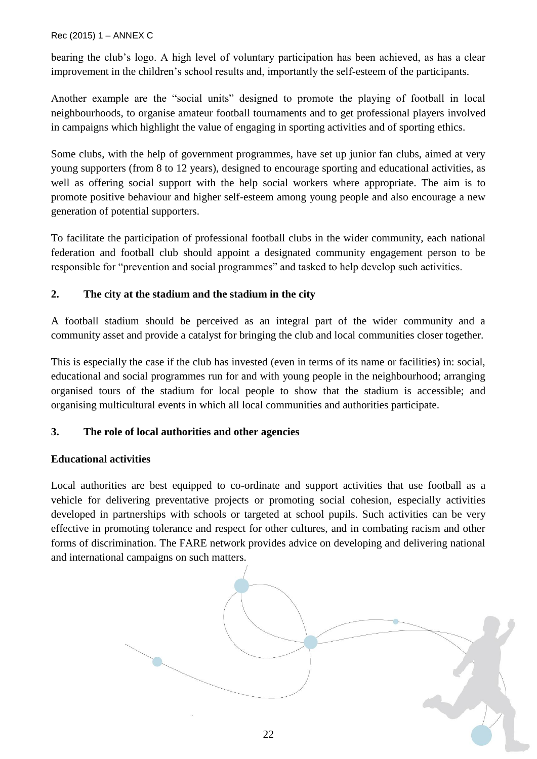bearing the club's logo. A high level of voluntary participation has been achieved, as has a clear improvement in the children's school results and, importantly the self-esteem of the participants.

Another example are the "social units" designed to promote the playing of football in local neighbourhoods, to organise amateur football tournaments and to get professional players involved in campaigns which highlight the value of engaging in sporting activities and of sporting ethics.

Some clubs, with the help of government programmes, have set up junior fan clubs, aimed at very young supporters (from 8 to 12 years), designed to encourage sporting and educational activities, as well as offering social support with the help social workers where appropriate. The aim is to promote positive behaviour and higher self-esteem among young people and also encourage a new generation of potential supporters.

To facilitate the participation of professional football clubs in the wider community, each national federation and football club should appoint a designated community engagement person to be responsible for "prevention and social programmes" and tasked to help develop such activities.

### **2. The city at the stadium and the stadium in the city**

A football stadium should be perceived as an integral part of the wider community and a community asset and provide a catalyst for bringing the club and local communities closer together.

This is especially the case if the club has invested (even in terms of its name or facilities) in: social, educational and social programmes run for and with young people in the neighbourhood; arranging organised tours of the stadium for local people to show that the stadium is accessible; and organising multicultural events in which all local communities and authorities participate.

## **3. The role of local authorities and other agencies**

#### **Educational activities**

Local authorities are best equipped to co-ordinate and support activities that use football as a vehicle for delivering preventative projects or promoting social cohesion, especially activities developed in partnerships with schools or targeted at school pupils. Such activities can be very effective in promoting tolerance and respect for other cultures, and in combating racism and other forms of discrimination. The FARE network provides advice on developing and delivering national and international campaigns on such matters.

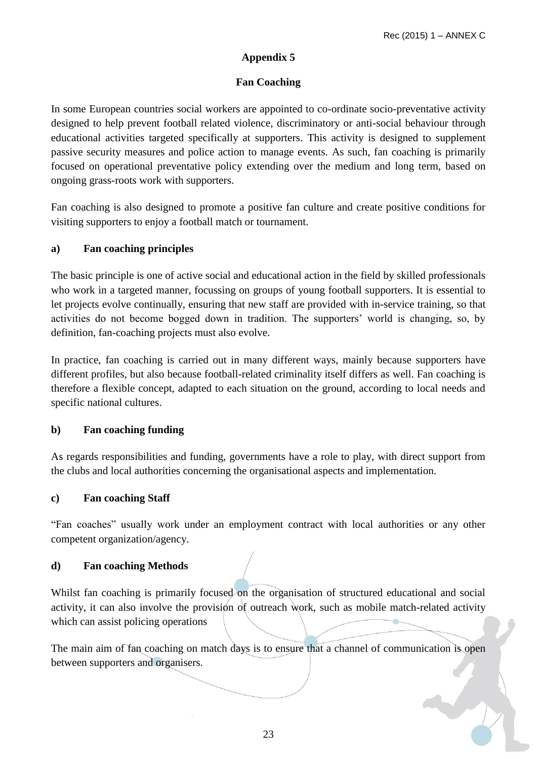### **Fan Coaching**

<span id="page-22-1"></span><span id="page-22-0"></span>In some European countries social workers are appointed to co-ordinate socio-preventative activity designed to help prevent football related violence, discriminatory or anti-social behaviour through educational activities targeted specifically at supporters. This activity is designed to supplement passive security measures and police action to manage events. As such, fan coaching is primarily focused on operational preventative policy extending over the medium and long term, based on ongoing grass-roots work with supporters.

Fan coaching is also designed to promote a positive fan culture and create positive conditions for visiting supporters to enjoy a football match or tournament.

### **a) Fan coaching principles**

The basic principle is one of active social and educational action in the field by skilled professionals who work in a targeted manner, focussing on groups of young football supporters. It is essential to let projects evolve continually, ensuring that new staff are provided with in-service training, so that activities do not become bogged down in tradition. The supporters' world is changing, so, by definition, fan-coaching projects must also evolve.

In practice, fan coaching is carried out in many different ways, mainly because supporters have different profiles, but also because football-related criminality itself differs as well. Fan coaching is therefore a flexible concept, adapted to each situation on the ground, according to local needs and specific national cultures.

#### **b) Fan coaching funding**

As regards responsibilities and funding, governments have a role to play, with direct support from the clubs and local authorities concerning the organisational aspects and implementation.

#### **c) Fan coaching Staff**

"Fan coaches" usually work under an employment contract with local authorities or any other competent organization/agency.

#### **d) Fan coaching Methods**

Whilst fan coaching is primarily focused on the organisation of structured educational and social activity, it can also involve the provision of outreach work, such as mobile match-related activity which can assist policing operations

The main aim of fan coaching on match days is to ensure that a channel of communication is open between supporters and organisers.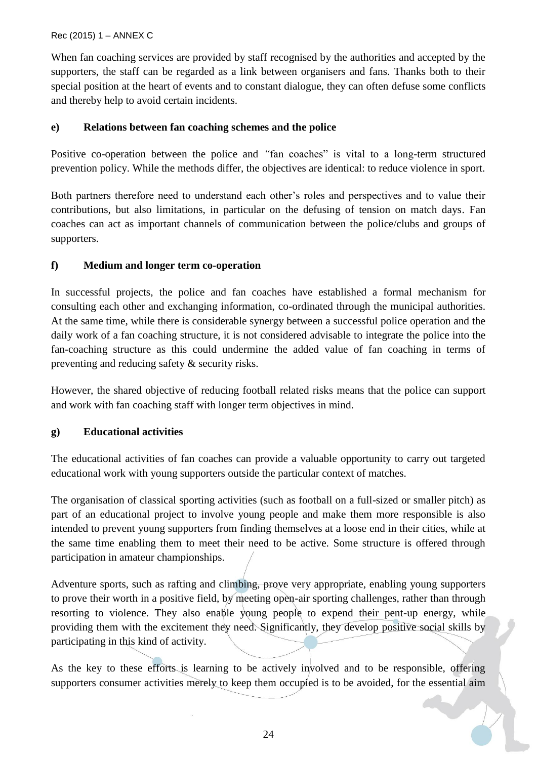When fan coaching services are provided by staff recognised by the authorities and accepted by the supporters, the staff can be regarded as a link between organisers and fans. Thanks both to their special position at the heart of events and to constant dialogue, they can often defuse some conflicts and thereby help to avoid certain incidents.

### **e) Relations between fan coaching schemes and the police**

Positive co-operation between the police and *"*fan coaches" is vital to a long-term structured prevention policy. While the methods differ, the objectives are identical: to reduce violence in sport.

Both partners therefore need to understand each other's roles and perspectives and to value their contributions, but also limitations, in particular on the defusing of tension on match days. Fan coaches can act as important channels of communication between the police/clubs and groups of supporters.

### **f) Medium and longer term co-operation**

In successful projects, the police and fan coaches have established a formal mechanism for consulting each other and exchanging information, co-ordinated through the municipal authorities. At the same time, while there is considerable synergy between a successful police operation and the daily work of a fan coaching structure, it is not considered advisable to integrate the police into the fan-coaching structure as this could undermine the added value of fan coaching in terms of preventing and reducing safety & security risks.

However, the shared objective of reducing football related risks means that the police can support and work with fan coaching staff with longer term objectives in mind.

#### **g) Educational activities**

The educational activities of fan coaches can provide a valuable opportunity to carry out targeted educational work with young supporters outside the particular context of matches.

The organisation of classical sporting activities (such as football on a full-sized or smaller pitch) as part of an educational project to involve young people and make them more responsible is also intended to prevent young supporters from finding themselves at a loose end in their cities, while at the same time enabling them to meet their need to be active. Some structure is offered through participation in amateur championships.

Adventure sports, such as rafting and climbing, prove very appropriate, enabling young supporters to prove their worth in a positive field, by meeting open-air sporting challenges, rather than through resorting to violence. They also enable young people to expend their pent-up energy, while providing them with the excitement they need. Significantly, they develop positive social skills by participating in this kind of activity.

As the key to these efforts is learning to be actively involved and to be responsible, offering supporters consumer activities merely to keep them occupied is to be avoided, for the essential aim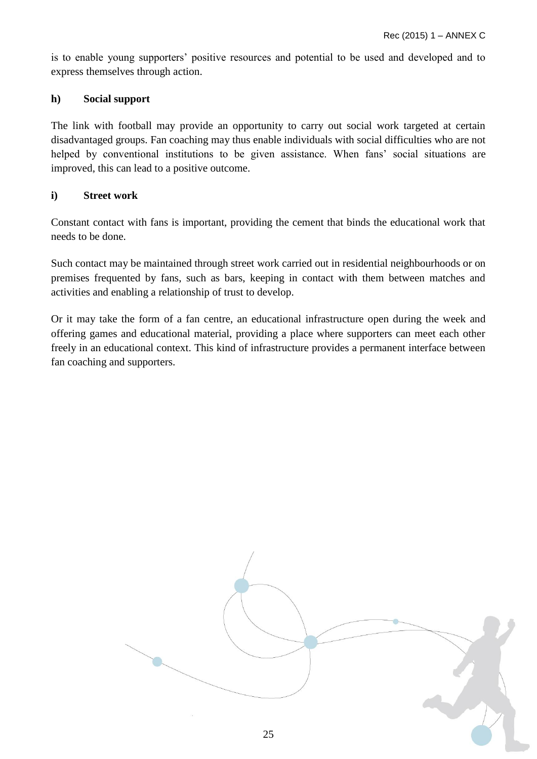is to enable young supporters' positive resources and potential to be used and developed and to express themselves through action.

#### **h) Social support**

The link with football may provide an opportunity to carry out social work targeted at certain disadvantaged groups. Fan coaching may thus enable individuals with social difficulties who are not helped by conventional institutions to be given assistance. When fans' social situations are improved, this can lead to a positive outcome.

#### **i) Street work**

Constant contact with fans is important, providing the cement that binds the educational work that needs to be done.

Such contact may be maintained through street work carried out in residential neighbourhoods or on premises frequented by fans, such as bars, keeping in contact with them between matches and activities and enabling a relationship of trust to develop.

Or it may take the form of a fan centre, an educational infrastructure open during the week and offering games and educational material, providing a place where supporters can meet each other freely in an educational context. This kind of infrastructure provides a permanent interface between fan coaching and supporters.

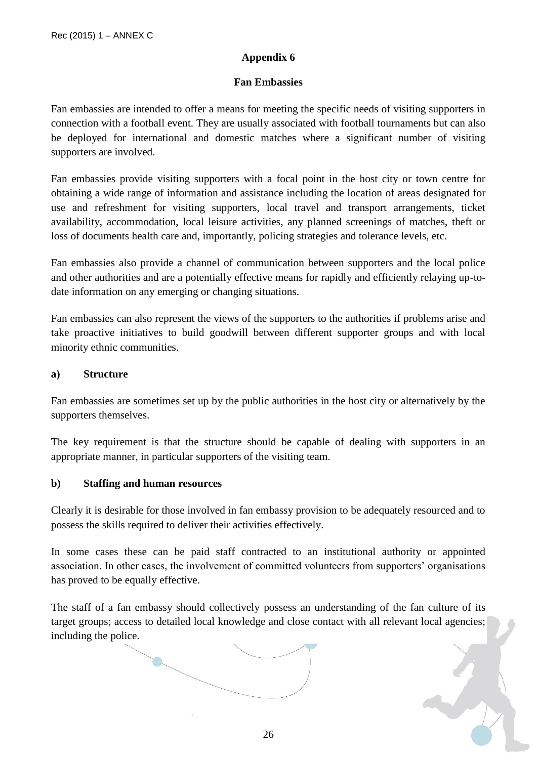#### **Fan Embassies**

<span id="page-25-1"></span><span id="page-25-0"></span>Fan embassies are intended to offer a means for meeting the specific needs of visiting supporters in connection with a football event. They are usually associated with football tournaments but can also be deployed for international and domestic matches where a significant number of visiting supporters are involved.

Fan embassies provide visiting supporters with a focal point in the host city or town centre for obtaining a wide range of information and assistance including the location of areas designated for use and refreshment for visiting supporters, local travel and transport arrangements, ticket availability, accommodation, local leisure activities, any planned screenings of matches, theft or loss of documents health care and, importantly, policing strategies and tolerance levels, etc.

Fan embassies also provide a channel of communication between supporters and the local police and other authorities and are a potentially effective means for rapidly and efficiently relaying up-todate information on any emerging or changing situations.

Fan embassies can also represent the views of the supporters to the authorities if problems arise and take proactive initiatives to build goodwill between different supporter groups and with local minority ethnic communities.

#### **a) Structure**

Fan embassies are sometimes set up by the public authorities in the host city or alternatively by the supporters themselves.

The key requirement is that the structure should be capable of dealing with supporters in an appropriate manner, in particular supporters of the visiting team.

#### **b) Staffing and human resources**

Clearly it is desirable for those involved in fan embassy provision to be adequately resourced and to possess the skills required to deliver their activities effectively.

In some cases these can be paid staff contracted to an institutional authority or appointed association. In other cases, the involvement of committed volunteers from supporters' organisations has proved to be equally effective.

The staff of a fan embassy should collectively possess an understanding of the fan culture of its target groups; access to detailed local knowledge and close contact with all relevant local agencies; including the police.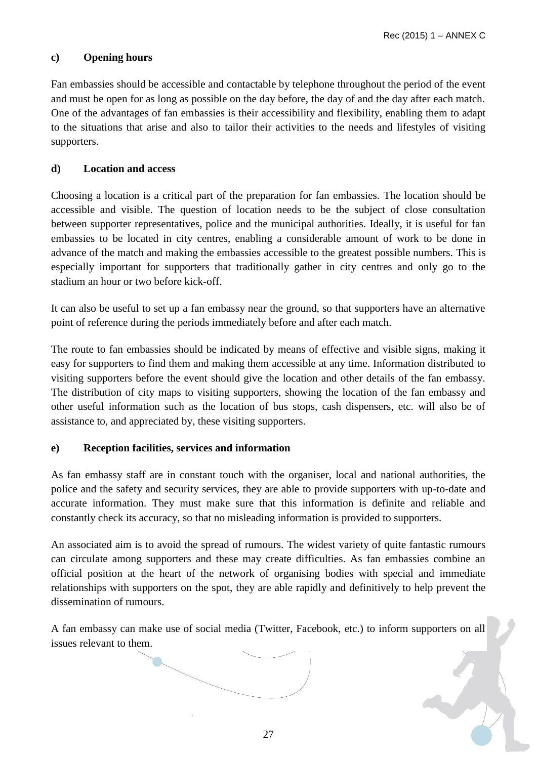### **c) Opening hours**

Fan embassies should be accessible and contactable by telephone throughout the period of the event and must be open for as long as possible on the day before, the day of and the day after each match. One of the advantages of fan embassies is their accessibility and flexibility, enabling them to adapt to the situations that arise and also to tailor their activities to the needs and lifestyles of visiting supporters.

#### **d) Location and access**

Choosing a location is a critical part of the preparation for fan embassies. The location should be accessible and visible. The question of location needs to be the subject of close consultation between supporter representatives, police and the municipal authorities. Ideally, it is useful for fan embassies to be located in city centres, enabling a considerable amount of work to be done in advance of the match and making the embassies accessible to the greatest possible numbers. This is especially important for supporters that traditionally gather in city centres and only go to the stadium an hour or two before kick-off.

It can also be useful to set up a fan embassy near the ground, so that supporters have an alternative point of reference during the periods immediately before and after each match.

The route to fan embassies should be indicated by means of effective and visible signs, making it easy for supporters to find them and making them accessible at any time. Information distributed to visiting supporters before the event should give the location and other details of the fan embassy. The distribution of city maps to visiting supporters, showing the location of the fan embassy and other useful information such as the location of bus stops, cash dispensers, etc. will also be of assistance to, and appreciated by, these visiting supporters.

#### **e) Reception facilities, services and information**

As fan embassy staff are in constant touch with the organiser, local and national authorities, the police and the safety and security services, they are able to provide supporters with up-to-date and accurate information. They must make sure that this information is definite and reliable and constantly check its accuracy, so that no misleading information is provided to supporters.

An associated aim is to avoid the spread of rumours. The widest variety of quite fantastic rumours can circulate among supporters and these may create difficulties. As fan embassies combine an official position at the heart of the network of organising bodies with special and immediate relationships with supporters on the spot, they are able rapidly and definitively to help prevent the dissemination of rumours.

A fan embassy can make use of social media (Twitter, Facebook, etc.) to inform supporters on all issues relevant to them.

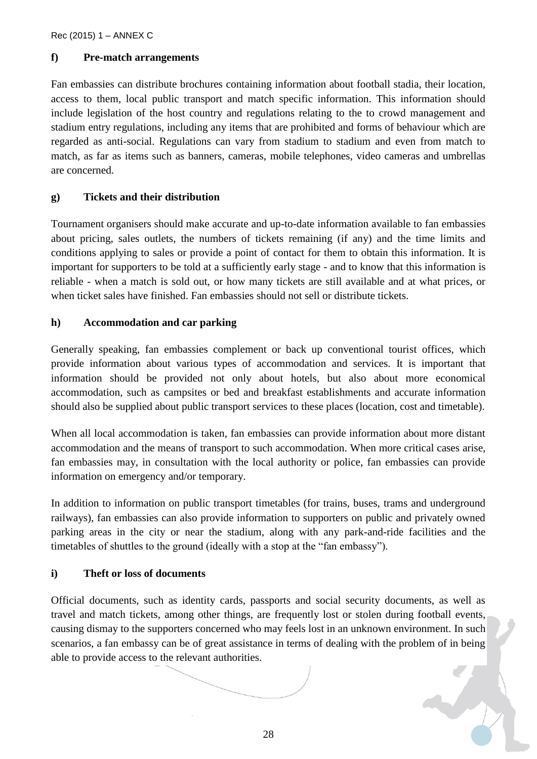#### **f) Pre-match arrangements**

Fan embassies can distribute brochures containing information about football stadia, their location, access to them, local public transport and match specific information. This information should include legislation of the host country and regulations relating to the to crowd management and stadium entry regulations, including any items that are prohibited and forms of behaviour which are regarded as anti-social. Regulations can vary from stadium to stadium and even from match to match, as far as items such as banners, cameras, mobile telephones, video cameras and umbrellas are concerned.

#### **g) Tickets and their distribution**

Tournament organisers should make accurate and up-to-date information available to fan embassies about pricing, sales outlets, the numbers of tickets remaining (if any) and the time limits and conditions applying to sales or provide a point of contact for them to obtain this information. It is important for supporters to be told at a sufficiently early stage - and to know that this information is reliable - when a match is sold out, or how many tickets are still available and at what prices, or when ticket sales have finished. Fan embassies should not sell or distribute tickets.

#### **h) Accommodation and car parking**

Generally speaking, fan embassies complement or back up conventional tourist offices, which provide information about various types of accommodation and services. It is important that information should be provided not only about hotels, but also about more economical accommodation, such as campsites or bed and breakfast establishments and accurate information should also be supplied about public transport services to these places (location, cost and timetable).

When all local accommodation is taken, fan embassies can provide information about more distant accommodation and the means of transport to such accommodation. When more critical cases arise, fan embassies may, in consultation with the local authority or police, fan embassies can provide information on emergency and/or temporary.

In addition to information on public transport timetables (for trains, buses, trams and underground railways), fan embassies can also provide information to supporters on public and privately owned parking areas in the city or near the stadium, along with any park-and-ride facilities and the timetables of shuttles to the ground (ideally with a stop at the "fan embassy").

#### **i) Theft or loss of documents**

Official documents, such as identity cards, passports and social security documents, as well as travel and match tickets, among other things, are frequently lost or stolen during football events, causing dismay to the supporters concerned who may feels lost in an unknown environment. In such scenarios, a fan embassy can be of great assistance in terms of dealing with the problem of in being able to provide access to the relevant authorities.